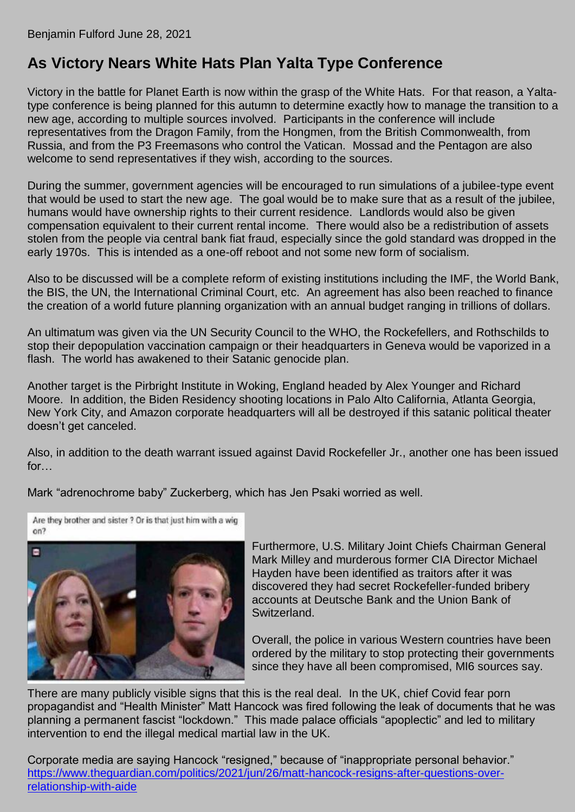# **As Victory Nears White Hats Plan Yalta Type Conference**

Victory in the battle for Planet Earth is now within the grasp of the White Hats. For that reason, a Yaltatype conference is being planned for this autumn to determine exactly how to manage the transition to a new age, according to multiple sources involved. Participants in the conference will include representatives from the Dragon Family, from the Hongmen, from the British Commonwealth, from Russia, and from the P3 Freemasons who control the Vatican. Mossad and the Pentagon are also welcome to send representatives if they wish, according to the sources.

During the summer, government agencies will be encouraged to run simulations of a jubilee-type event that would be used to start the new age. The goal would be to make sure that as a result of the jubilee, humans would have ownership rights to their current residence. Landlords would also be given compensation equivalent to their current rental income. There would also be a redistribution of assets stolen from the people via central bank fiat fraud, especially since the gold standard was dropped in the early 1970s. This is intended as a one-off reboot and not some new form of socialism.

Also to be discussed will be a complete reform of existing institutions including the IMF, the World Bank, the BIS, the UN, the International Criminal Court, etc. An agreement has also been reached to finance the creation of a world future planning organization with an annual budget ranging in trillions of dollars.

An ultimatum was given via the UN Security Council to the WHO, the Rockefellers, and Rothschilds to stop their depopulation vaccination campaign or their headquarters in Geneva would be vaporized in a flash. The world has awakened to their Satanic genocide plan.

Another target is the Pirbright Institute in Woking, England headed by Alex Younger and Richard Moore. In addition, the Biden Residency shooting locations in Palo Alto California, Atlanta Georgia, New York City, and Amazon corporate headquarters will all be destroyed if this satanic political theater doesn't get canceled.

Also, in addition to the death warrant issued against David Rockefeller Jr., another one has been issued for

Mark "adrenochrome baby" Zuckerberg, which has Jen Psaki worried as well.

Are they brother and sister ? Or is that just him with a wig on?



Furthermore, U.S. Military Joint Chiefs Chairman General Mark Milley and murderous former CIA Director Michael Hayden have been identified as traitors after it was discovered they had secret Rockefeller-funded bribery accounts at Deutsche Bank and the Union Bank of Switzerland.

Overall, the police in various Western countries have been ordered by the military to stop protecting their governments since they have all been compromised, MI6 sources say.

There are many publicly visible signs that this is the real deal. In the UK, chief Covid fear porn propagandist and "Health Minister" Matt Hancock was fired following the leak of documents that he was planning a permanent fascist "lockdown." This made palace officials "apoplectic" and led to military intervention to end the illegal medical martial law in the UK.

Corporate media are saying Hancock "resigned," because of "inappropriate personal behavior." [https://www.theguardian.com/politics/2021/jun/26/matt-hancock-resigns-after-questions-over](https://www.theguardian.com/politics/2021/jun/26/matt-hancock-resigns-after-questions-over-relationship-with-aide)[relationship-with-aide](https://www.theguardian.com/politics/2021/jun/26/matt-hancock-resigns-after-questions-over-relationship-with-aide)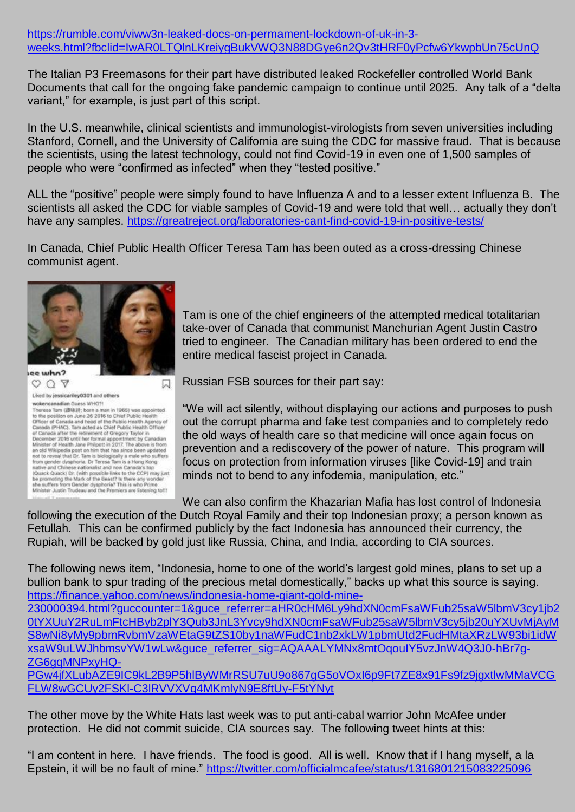## [https://rumble.com/viww3n-leaked-docs-on-permament-lockdown-of-uk-in-3](https://rumble.com/viww3n-leaked-docs-on-permament-lockdown-of-uk-in-3-weeks.html?fbclid=IwAR0LTQlnLKreiygBukVWQ3N88DGye6n2Qv3tHRF0yPcfw6YkwpbUn75cUnQ) [weeks.html?fbclid=IwAR0LTQlnLKreiygBukVWQ3N88DGye6n2Qv3tHRF0yPcfw6YkwpbUn75cUnQ](https://rumble.com/viww3n-leaked-docs-on-permament-lockdown-of-uk-in-3-weeks.html?fbclid=IwAR0LTQlnLKreiygBukVWQ3N88DGye6n2Qv3tHRF0yPcfw6YkwpbUn75cUnQ)

The Italian P3 Freemasons for their part have distributed leaked Rockefeller controlled World Bank Documents that call for the ongoing fake pandemic campaign to continue until 2025. Any talk of a "delta variant," for example, is just part of this script.

In the U.S. meanwhile, clinical scientists and immunologist-virologists from seven universities including Stanford, Cornell, and the University of California are suing the CDC for massive fraud. That is because the scientists, using the latest technology, could not find Covid-19 in even one of 1,500 samples of people who were "confirmed as infected" when they "tested positive."

ALL the "positive" people were simply found to have Influenza A and to a lesser extent Influenza B. The scientists all asked the CDC for viable samples of Covid-19 and were told that well… actually they don't have any samples.<https://greatreject.org/laboratories-cant-find-covid-19-in-positive-tests/>

In Canada, Chief Public Health Officer Teresa Tam has been outed as a cross-dressing Chinese communist agent.



凤  $OQ$ Liked by jessicariley0301 and others wokencanadian Guess WHQ?!<br>
Theresa Tam (@88) was appointed<br>
Theresa Tam (@88) was appointed<br>
To the position on June 26 2016 to Chief Public Health<br>
Officer of Canada and head of the Public Health Agency of<br>
Officer Canad wokencanadian Guess WHO?!

Tam is one of the chief engineers of the attempted medical totalitarian take-over of Canada that communist Manchurian Agent Justin Castro tried to engineer. The Canadian military has been ordered to end the entire medical fascist project in Canada.

Russian FSB sources for their part say:

"We will act silently, without displaying our actions and purposes to push out the corrupt pharma and fake test companies and to completely redo the old ways of health care so that medicine will once again focus on prevention and a rediscovery of the power of nature. This program will focus on protection from information viruses [like Covid-19] and train minds not to bend to any infodemia, manipulation, etc."

We can also confirm the Khazarian Mafia has lost control of Indonesia following the execution of the Dutch Royal Family and their top Indonesian proxy; a person known as Fetullah. This can be confirmed publicly by the fact Indonesia has announced their currency, the Rupiah, will be backed by gold just like Russia, China, and India, according to CIA sources.

The following news item, "Indonesia, home to one of the world's largest gold mines, plans to set up a bullion bank to spur trading of the precious metal domestically," backs up what this source is saying. [https://finance.yahoo.com/news/indonesia-home-giant-gold-mine-](https://finance.yahoo.com/news/indonesia-home-giant-gold-mine-230000394.html?guccounter=1&guce_referrer=aHR0cHM6Ly9hdXN0cmFsaWFub25saW5lbmV3cy1jb20tYXUuY2RuLmFtcHByb2plY3Qub3JnL3Yvcy9hdXN0cmFsaWFub25saW5lbmV3cy5jb20uYXUvMjAyMS8wNi8yMy9pbmRvbmVzaWEtaG9tZS10by1naWFudC1nb2xkLW1pbmUtd2FudHMtaXRzLW93bi1idWxsaW9uLWJhbmsvYW1wLw&guce_referrer_sig=AQAAALYMNx8mtOqouIY5vzJnW4Q3J0-hBr7g-ZG6gqMNPxyHQ-PGw4jfXLubAZE9IC9kL2B9P5hlByWMrRSU7uU9o867gG5oVOxI6p9Ft7ZE8x91Fs9fz9jgxtlwMMaVCGFLW8wGCUy2FSKl-C3lRVVXVg4MKmlyN9E8ftUy-F5)[230000394.html?guccounter=1&guce\\_referrer=aHR0cHM6Ly9hdXN0cmFsaWFub25saW5lbmV3cy1jb2](https://finance.yahoo.com/news/indonesia-home-giant-gold-mine-230000394.html?guccounter=1&guce_referrer=aHR0cHM6Ly9hdXN0cmFsaWFub25saW5lbmV3cy1jb20tYXUuY2RuLmFtcHByb2plY3Qub3JnL3Yvcy9hdXN0cmFsaWFub25saW5lbmV3cy5jb20uYXUvMjAyMS8wNi8yMy9pbmRvbmVzaWEtaG9tZS10by1naWFudC1nb2xkLW1pbmUtd2FudHMtaXRzLW93bi1idWxsaW9uLWJhbmsvYW1wLw&guce_referrer_sig=AQAAALYMNx8mtOqouIY5vzJnW4Q3J0-hBr7g-ZG6gqMNPxyHQ-PGw4jfXLubAZE9IC9kL2B9P5hlByWMrRSU7uU9o867gG5oVOxI6p9Ft7ZE8x91Fs9fz9jgxtlwMMaVCGFLW8wGCUy2FSKl-C3lRVVXVg4MKmlyN9E8ftUy-F5) [0tYXUuY2RuLmFtcHByb2plY3Qub3JnL3Yvcy9hdXN0cmFsaWFub25saW5lbmV3cy5jb20uYXUvMjAyM](https://finance.yahoo.com/news/indonesia-home-giant-gold-mine-230000394.html?guccounter=1&guce_referrer=aHR0cHM6Ly9hdXN0cmFsaWFub25saW5lbmV3cy1jb20tYXUuY2RuLmFtcHByb2plY3Qub3JnL3Yvcy9hdXN0cmFsaWFub25saW5lbmV3cy5jb20uYXUvMjAyMS8wNi8yMy9pbmRvbmVzaWEtaG9tZS10by1naWFudC1nb2xkLW1pbmUtd2FudHMtaXRzLW93bi1idWxsaW9uLWJhbmsvYW1wLw&guce_referrer_sig=AQAAALYMNx8mtOqouIY5vzJnW4Q3J0-hBr7g-ZG6gqMNPxyHQ-PGw4jfXLubAZE9IC9kL2B9P5hlByWMrRSU7uU9o867gG5oVOxI6p9Ft7ZE8x91Fs9fz9jgxtlwMMaVCGFLW8wGCUy2FSKl-C3lRVVXVg4MKmlyN9E8ftUy-F5) [S8wNi8yMy9pbmRvbmVzaWEtaG9tZS10by1naWFudC1nb2xkLW1pbmUtd2FudHMtaXRzLW93bi1idW](https://finance.yahoo.com/news/indonesia-home-giant-gold-mine-230000394.html?guccounter=1&guce_referrer=aHR0cHM6Ly9hdXN0cmFsaWFub25saW5lbmV3cy1jb20tYXUuY2RuLmFtcHByb2plY3Qub3JnL3Yvcy9hdXN0cmFsaWFub25saW5lbmV3cy5jb20uYXUvMjAyMS8wNi8yMy9pbmRvbmVzaWEtaG9tZS10by1naWFudC1nb2xkLW1pbmUtd2FudHMtaXRzLW93bi1idWxsaW9uLWJhbmsvYW1wLw&guce_referrer_sig=AQAAALYMNx8mtOqouIY5vzJnW4Q3J0-hBr7g-ZG6gqMNPxyHQ-PGw4jfXLubAZE9IC9kL2B9P5hlByWMrRSU7uU9o867gG5oVOxI6p9Ft7ZE8x91Fs9fz9jgxtlwMMaVCGFLW8wGCUy2FSKl-C3lRVVXVg4MKmlyN9E8ftUy-F5) [xsaW9uLWJhbmsvYW1wLw&guce\\_referrer\\_sig=AQAAALYMNx8mtOqouIY5vzJnW4Q3J0-hBr7g-](https://finance.yahoo.com/news/indonesia-home-giant-gold-mine-230000394.html?guccounter=1&guce_referrer=aHR0cHM6Ly9hdXN0cmFsaWFub25saW5lbmV3cy1jb20tYXUuY2RuLmFtcHByb2plY3Qub3JnL3Yvcy9hdXN0cmFsaWFub25saW5lbmV3cy5jb20uYXUvMjAyMS8wNi8yMy9pbmRvbmVzaWEtaG9tZS10by1naWFudC1nb2xkLW1pbmUtd2FudHMtaXRzLW93bi1idWxsaW9uLWJhbmsvYW1wLw&guce_referrer_sig=AQAAALYMNx8mtOqouIY5vzJnW4Q3J0-hBr7g-ZG6gqMNPxyHQ-PGw4jfXLubAZE9IC9kL2B9P5hlByWMrRSU7uU9o867gG5oVOxI6p9Ft7ZE8x91Fs9fz9jgxtlwMMaVCGFLW8wGCUy2FSKl-C3lRVVXVg4MKmlyN9E8ftUy-F5)ZG6qqMNPxvHQ-[PGw4jfXLubAZE9IC9kL2B9P5hlByWMrRSU7uU9o867gG5oVOxI6p9Ft7ZE8x91Fs9fz9jgxtlwMMaVCG](https://finance.yahoo.com/news/indonesia-home-giant-gold-mine-230000394.html?guccounter=1&guce_referrer=aHR0cHM6Ly9hdXN0cmFsaWFub25saW5lbmV3cy1jb20tYXUuY2RuLmFtcHByb2plY3Qub3JnL3Yvcy9hdXN0cmFsaWFub25saW5lbmV3cy5jb20uYXUvMjAyMS8wNi8yMy9pbmRvbmVzaWEtaG9tZS10by1naWFudC1nb2xkLW1pbmUtd2FudHMtaXRzLW93bi1idWxsaW9uLWJhbmsvYW1wLw&guce_referrer_sig=AQAAALYMNx8mtOqouIY5vzJnW4Q3J0-hBr7g-ZG6gqMNPxyHQ-PGw4jfXLubAZE9IC9kL2B9P5hlByWMrRSU7uU9o867gG5oVOxI6p9Ft7ZE8x91Fs9fz9jgxtlwMMaVCGFLW8wGCUy2FSKl-C3lRVVXVg4MKmlyN9E8ftUy-F5) [FLW8wGCUy2FSKl-C3lRVVXVg4MKmlyN9E8ftUy-F5tYNyt](https://finance.yahoo.com/news/indonesia-home-giant-gold-mine-230000394.html?guccounter=1&guce_referrer=aHR0cHM6Ly9hdXN0cmFsaWFub25saW5lbmV3cy1jb20tYXUuY2RuLmFtcHByb2plY3Qub3JnL3Yvcy9hdXN0cmFsaWFub25saW5lbmV3cy5jb20uYXUvMjAyMS8wNi8yMy9pbmRvbmVzaWEtaG9tZS10by1naWFudC1nb2xkLW1pbmUtd2FudHMtaXRzLW93bi1idWxsaW9uLWJhbmsvYW1wLw&guce_referrer_sig=AQAAALYMNx8mtOqouIY5vzJnW4Q3J0-hBr7g-ZG6gqMNPxyHQ-PGw4jfXLubAZE9IC9kL2B9P5hlByWMrRSU7uU9o867gG5oVOxI6p9Ft7ZE8x91Fs9fz9jgxtlwMMaVCGFLW8wGCUy2FSKl-C3lRVVXVg4MKmlyN9E8ftUy-F5)

The other move by the White Hats last week was to put anti-cabal warrior John McAfee under protection. He did not commit suicide, CIA sources say. The following tweet hints at this:

"I am content in here. I have friends. The food is good. All is well. Know that if I hang myself, a la Epstein, it will be no fault of mine."<https://twitter.com/officialmcafee/status/1316801215083225096>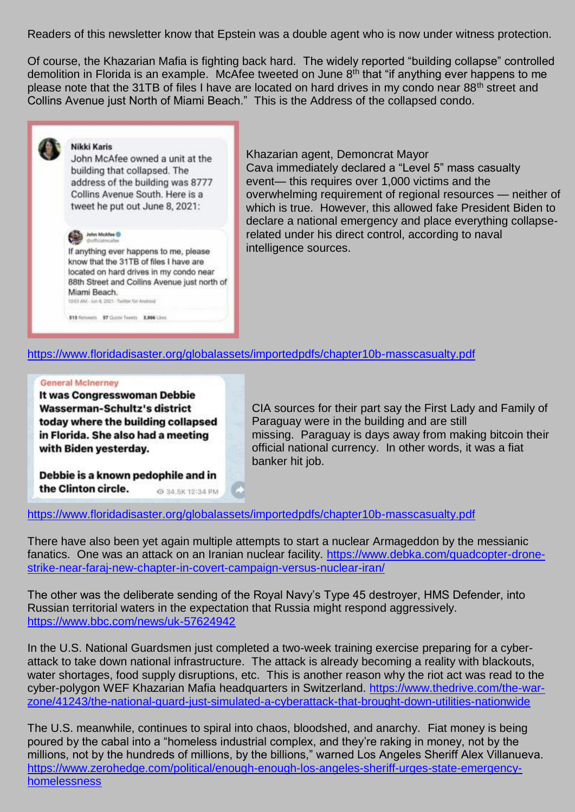Readers of this newsletter know that Epstein was a double agent who is now under witness protection.

Of course, the Khazarian Mafia is fighting back hard. The widely reported "building collapse" controlled demolition in Florida is an example. McAfee tweeted on June 8<sup>th</sup> that "if anything ever happens to me please note that the 31TB of files I have are located on hard drives in my condo near 88<sup>th</sup> street and Collins Avenue just North of Miami Beach." This is the Address of the collapsed condo.

### **Nikki Karis**

John McAfee owned a unit at the building that collapsed. The address of the building was 8777 Collins Avenue South. Here is a tweet he put out June 8, 2021:



If anything ever happens to me, please know that the 31TB of files I have are located on hard drives in my condo near 88th Street and Collins Avenue just north of Miami Beach. 10:03 AM - Jun 8, 2021 - Twitter for Android

Khazarian agent, Demoncrat Mayor Cava immediately declared a "Level 5" mass casualty event— this requires over 1,000 victims and the overwhelming requirement of regional resources — neither of which is true. However, this allowed fake President Biden to declare a national emergency and place everything collapserelated under his direct control, according to naval intelligence sources.

# <https://www.floridadisaster.org/globalassets/importedpdfs/chapter10b-masscasualty.pdf>

#### **General McInerney**

It was Congresswoman Debbie Wasserman-Schultz's district today where the building collapsed in Florida. She also had a meeting with Biden yesterday.

513 Retweets 57 Gutte Tweets 3,866 Likes

CIA sources for their part say the First Lady and Family of Paraguay were in the building and are still missing. Paraguay is days away from making bitcoin their official national currency. In other words, it was a fiat banker hit job.

Debbie is a known pedophile and in the Clinton circle. ◎ 34.5K 12:34 PM

<https://www.floridadisaster.org/globalassets/importedpdfs/chapter10b-masscasualty.pdf>

There have also been yet again multiple attempts to start a nuclear Armageddon by the messianic fanatics. One was an attack on an Iranian nuclear facility. [https://www.debka.com/quadcopter-drone](https://www.debka.com/quadcopter-drone-strike-near-faraj-new-chapter-in-covert-campaign-versus-nuclear-iran/)[strike-near-faraj-new-chapter-in-covert-campaign-versus-nuclear-iran/](https://www.debka.com/quadcopter-drone-strike-near-faraj-new-chapter-in-covert-campaign-versus-nuclear-iran/)

The other was the deliberate sending of the Royal Navy's Type 45 destroyer, HMS Defender, into Russian territorial waters in the expectation that Russia might respond aggressively. <https://www.bbc.com/news/uk-57624942>

In the U.S. National Guardsmen just completed a two-week training exercise preparing for a cyberattack to take down national infrastructure. The attack is already becoming a reality with blackouts, water shortages, food supply disruptions, etc. This is another reason why the riot act was read to the cyber-polygon WEF Khazarian Mafia headquarters in Switzerland. [https://www.thedrive.com/the-war](https://www.thedrive.com/the-war-zone/41243/the-national-guard-just-simulated-a-cyberattack-that-brought-down-utilities-nationwide)[zone/41243/the-national-guard-just-simulated-a-cyberattack-that-brought-down-utilities-nationwide](https://www.thedrive.com/the-war-zone/41243/the-national-guard-just-simulated-a-cyberattack-that-brought-down-utilities-nationwide)

The U.S. meanwhile, continues to spiral into chaos, bloodshed, and anarchy. Fiat money is being poured by the cabal into a "homeless industrial complex, and they're raking in money, not by the millions, not by the hundreds of millions, by the billions," warned Los Angeles Sheriff Alex Villanueva. [https://www.zerohedge.com/political/enough-enough-los-angeles-sheriff-urges-state-emergency](https://www.zerohedge.com/political/enough-enough-los-angeles-sheriff-urges-state-emergency-homelessness)[homelessness](https://www.zerohedge.com/political/enough-enough-los-angeles-sheriff-urges-state-emergency-homelessness)